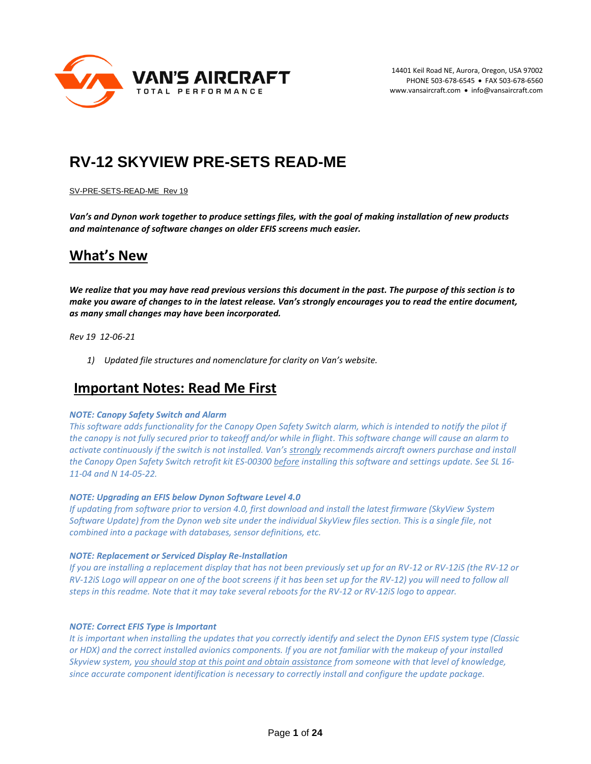

# **RV-12 SKYVIEW PRE-SETS READ-ME**

#### SV-PRE-SETS-READ-ME Rev 19

*Van's and Dynon work together to produce settings files, with the goal of making installation of new products and maintenance of software changes on older EFIS screens much easier.* 

## **What's New**

*We realize that you may have read previous versions this document in the past. The purpose of this section is to make you aware of changes to in the latest release. Van's strongly encourages you to read the entire document, as many small changes may have been incorporated.*

*Rev 19 12-06-21*

*1) Updated file structures and nomenclature for clarity on Van's website.*

## **Important Notes: Read Me First**

#### *NOTE: Canopy Safety Switch and Alarm*

*This software adds functionality for the Canopy Open Safety Switch alarm, which is intended to notify the pilot if the canopy is not fully secured prior to takeoff and/or while in flight. This software change will cause an alarm to activate continuously if the switch is not installed. Van's strongly recommends aircraft owners purchase and install the Canopy Open Safety Switch retrofit kit ES-00300 before installing this software and settings update. See SL 16- 11-04 and N 14-05-22.*

#### *NOTE: Upgrading an EFIS below Dynon Software Level 4.0*

*If updating from software prior to version 4.0, first download and install the latest firmware (SkyView System Software Update) from the Dynon web site under the individual SkyView files section. This is a single file, not combined into a package with databases, sensor definitions, etc.*

#### *NOTE: Replacement or Serviced Display Re-Installation*

*If you are installing a replacement display that has not been previously set up for an RV-12 or RV-12iS (the RV-12 or RV-12iS Logo will appear on one of the boot screens if it has been set up for the RV-12) you will need to follow all steps in this readme. Note that it may take several reboots for the RV-12 or RV-12iS logo to appear.* 

#### *NOTE: Correct EFIS Type is Important*

*It is important when installing the updates that you correctly identify and select the Dynon EFIS system type (Classic or HDX) and the correct installed avionics components. If you are not familiar with the makeup of your installed Skyview system, you should stop at this point and obtain assistance from someone with that level of knowledge, since accurate component identification is necessary to correctly install and configure the update package.*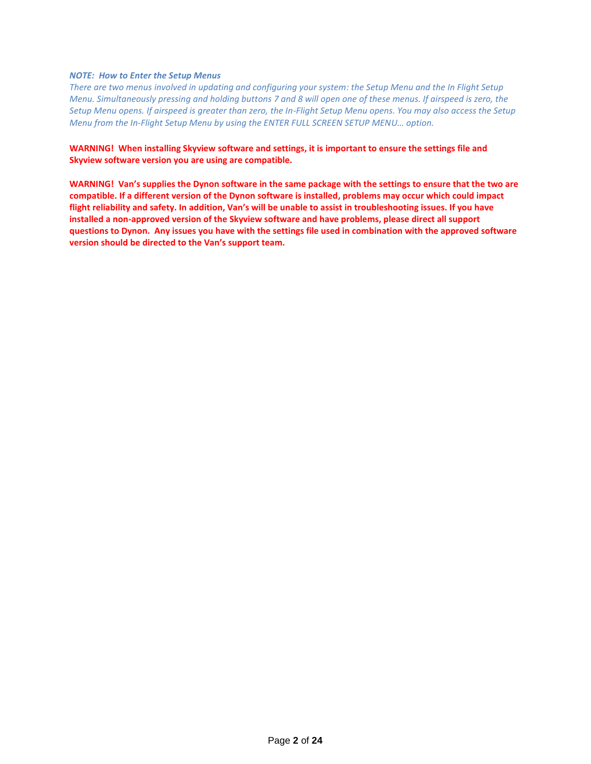#### *NOTE: How to Enter the Setup Menus*

*There are two menus involved in updating and configuring your system: the Setup Menu and the In Flight Setup Menu. Simultaneously pressing and holding buttons 7 and 8 will open one of these menus. If airspeed is zero, the Setup Menu opens. If airspeed is greater than zero, the In-Flight Setup Menu opens. You may also access the Setup Menu from the In-Flight Setup Menu by using the ENTER FULL SCREEN SETUP MENU… option.*

#### **WARNING! When installing Skyview software and settings, it is important to ensure the settings file and Skyview software version you are using are compatible.**

**WARNING! Van's supplies the Dynon software in the same package with the settings to ensure that the two are compatible. If a different version of the Dynon software is installed, problems may occur which could impact flight reliability and safety. In addition, Van's will be unable to assist in troubleshooting issues. If you have installed a non-approved version of the Skyview software and have problems, please direct all support questions to Dynon. Any issues you have with the settings file used in combination with the approved software version should be directed to the Van's support team.**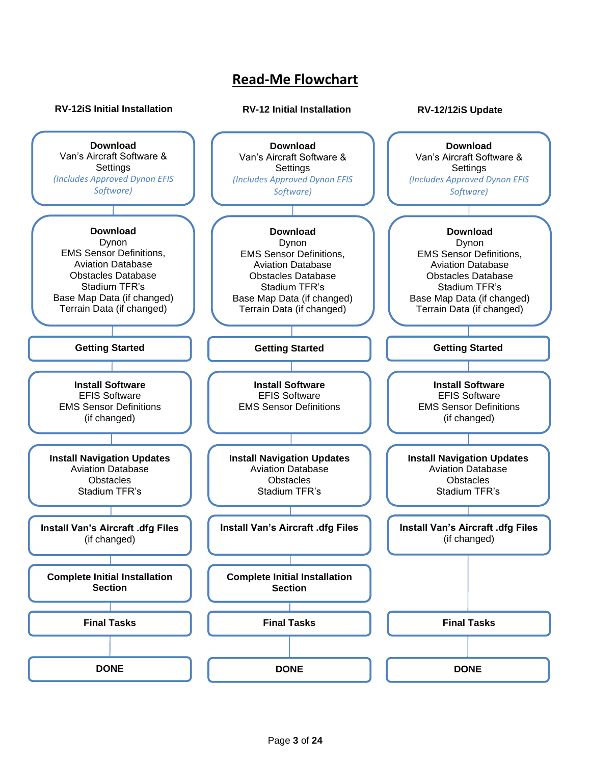# **Read-Me Flowchart**

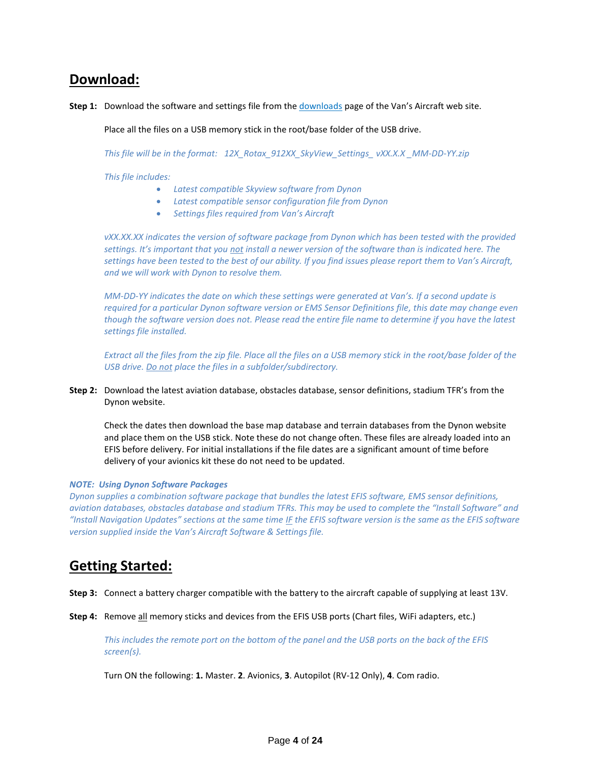## **Download:**

Step 1: Download the software and settings file from the [downloads](https://www.vansaircraft.com/downloads/) page of the Van's Aircraft web site.

Place all the files on a USB memory stick in the root/base folder of the USB drive.

*This file will be in the format: 12X\_Rotax\_912XX\_SkyView\_Settings\_ vXX.X.X \_MM-DD-YY.zip*

*This file includes:*

- *Latest compatible Skyview software from Dynon*
- *Latest compatible sensor configuration file from Dynon*
- *Settings files required from Van's Aircraft*

*vXX.XX.XX indicates the version of software package from Dynon which has been tested with the provided settings. It's important that you not install a newer version of the software than is indicated here. The settings have been tested to the best of our ability. If you find issues please report them to Van's Aircraft, and we will work with Dynon to resolve them.* 

*MM-DD-YY indicates the date on which these settings were generated at Van's. If a second update is required for a particular Dynon software version or EMS Sensor Definitions file, this date may change even though the software version does not. Please read the entire file name to determine if you have the latest settings file installed.* 

*Extract all the files from the zip file. Place all the files on a USB memory stick in the root/base folder of the USB drive. Do not place the files in a subfolder/subdirectory.*

**Step 2:** Download the latest aviation database, obstacles database, sensor definitions, stadium TFR's from the Dynon website.

Check the dates then download the base map database and terrain databases from the Dynon website and place them on the USB stick. Note these do not change often. These files are already loaded into an EFIS before delivery. For initial installations if the file dates are a significant amount of time before delivery of your avionics kit these do not need to be updated.

#### *NOTE: Using Dynon Software Packages*

*Dynon supplies a combination software package that bundles the latest EFIS software, EMS sensor definitions, aviation databases, obstacles database and stadium TFRs. This may be used to complete the "Install Software" and*  "Install Navigation Updates" sections at the same time *IF* the EFIS software version is the same as the EFIS software *version supplied inside the Van's Aircraft Software & Settings file.* 

## **Getting Started:**

**Step 3:** Connect a battery charger compatible with the battery to the aircraft capable of supplying at least 13V.

**Step 4:** Remove all memory sticks and devices from the EFIS USB ports (Chart files, WiFi adapters, etc.)

*This includes the remote port on the bottom of the panel and the USB ports on the back of the EFIS screen(s).*

Turn ON the following: **1.** Master. **2**. Avionics, **3**. Autopilot (RV-12 Only), **4**. Com radio.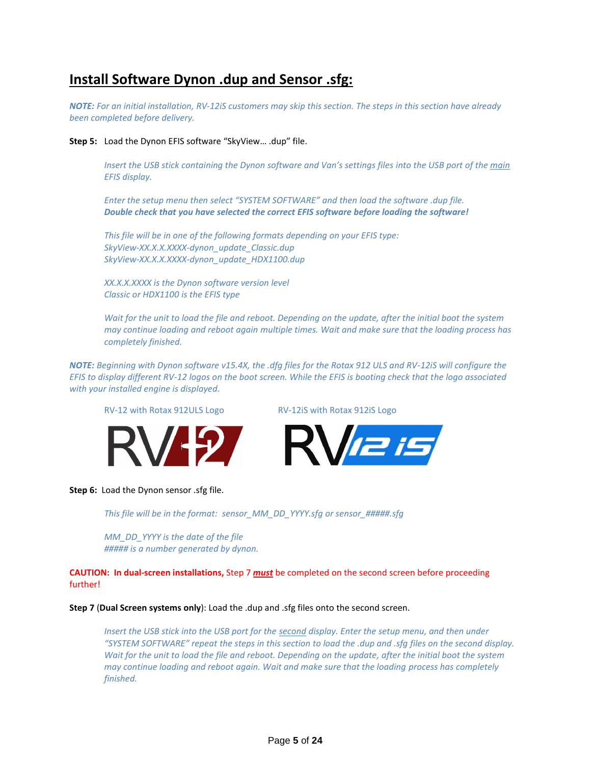# **Install Software Dynon .dup and Sensor .sfg:**

*NOTE: For an initial installation, RV-12iS customers may skip this section. The steps in this section have already been completed before delivery.*

#### **Step 5:** Load the Dynon EFIS software "SkyView… .dup" file.

*Insert the USB stick containing the Dynon software and Van's settings files into the USB port of the main EFIS display.* 

*Enter the setup menu then select "SYSTEM SOFTWARE" and then load the software .dup file. Double check that you have selected the correct EFIS software before loading the software!*

*This file will be in one of the following formats depending on your EFIS type: SkyView-XX.X.X.XXXX-dynon\_update\_Classic.dup SkyView-XX.X.X.XXXX-dynon\_update\_HDX1100.dup*

*XX.X.X.XXXX is the Dynon software version level Classic or HDX1100 is the EFIS type*

*Wait for the unit to load the file and reboot. Depending on the update, after the initial boot the system may continue loading and reboot again multiple times. Wait and make sure that the loading process has completely finished.*

*NOTE: Beginning with Dynon software v15.4X, the .dfg files for the Rotax 912 ULS and RV-12iS will configure the EFIS to display different RV-12 logos on the boot screen. While the EFIS is booting check that the logo associated with your installed engine is displayed.* 



RV-12 with Rotax 912ULS Logo RV-12iS with Rotax 912iS Logo



**Step 6:** Load the Dynon sensor .sfg file.

*This file will be in the format: sensor\_MM\_DD\_YYYY.sfg or sensor\_#####.sfg*

*MM\_DD\_YYYY is the date of the file ##### is a number generated by dynon.*

**CAUTION: In dual-screen installations,** Step 7 *must* be completed on the second screen before proceeding further!

**Step 7** (**Dual Screen systems only**): Load the .dup and .sfg files onto the second screen.

*Insert the USB stick into the USB port for the second display. Enter the setup menu, and then under "SYSTEM SOFTWARE" repeat the steps in this section to load the .dup and .sfg files on the second display. Wait for the unit to load the file and reboot. Depending on the update, after the initial boot the system may continue loading and reboot again. Wait and make sure that the loading process has completely finished.*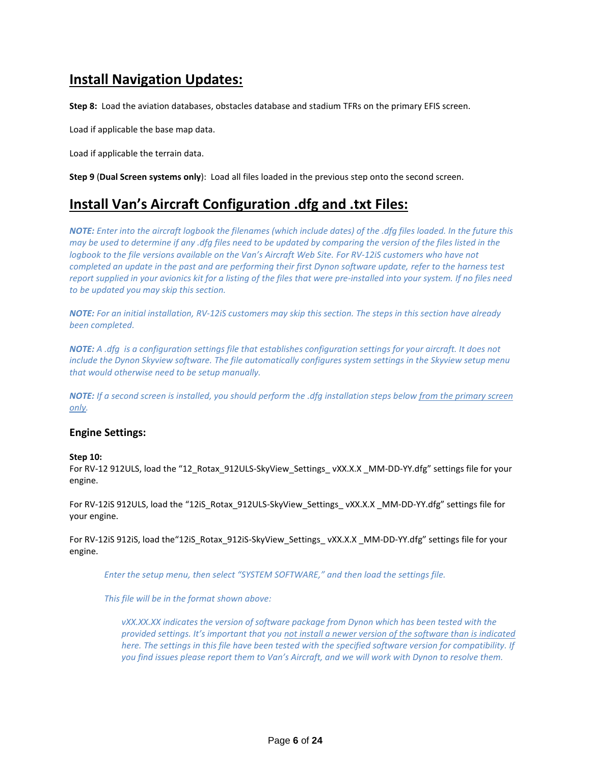# **Install Navigation Updates:**

**Step 8:** Load the aviation databases, obstacles database and stadium TFRs on the primary EFIS screen.

Load if applicable the base map data.

Load if applicable the terrain data.

**Step 9** (**Dual Screen systems only**): Load all files loaded in the previous step onto the second screen.

# **Install Van's Aircraft Configuration .dfg and .txt Files:**

*NOTE: Enter into the aircraft logbook the filenames (which include dates) of the .dfg files loaded. In the future this may be used to determine if any .dfg files need to be updated by comparing the version of the files listed in the logbook to the file versions available on the Van's Aircraft Web Site. For RV-12iS customers who have not completed an update in the past and are performing their first Dynon software update, refer to the harness test report supplied in your avionics kit for a listing of the files that were pre-installed into your system. If no files need to be updated you may skip this section.*

*NOTE: For an initial installation, RV-12iS customers may skip this section. The steps in this section have already been completed.*

*NOTE: A .dfg is a configuration settings file that establishes configuration settings for your aircraft. It does not include the Dynon Skyview software. The file automatically configures system settings in the Skyview setup menu that would otherwise need to be setup manually.*

*NOTE: If a second screen is installed, you should perform the .dfg installation steps below from the primary screen only.* 

## **Engine Settings:**

#### **Step 10:**

For RV-12 912ULS, load the "12\_Rotax\_912ULS-SkyView\_Settings\_ vXX.X.X \_MM-DD-YY.dfg" settings file for your engine.

For RV-12iS 912ULS, load the "12iS\_Rotax\_912ULS-SkyView\_Settings\_ vXX.X.X \_MM-DD-YY.dfg" settings file for your engine.

For RV-12iS 912iS, load the"12iS\_Rotax\_912iS-SkyView\_Settings\_ vXX.X.X \_MM-DD-YY.dfg" settings file for your engine.

*Enter the setup menu, then select "SYSTEM SOFTWARE," and then load the settings file.* 

*This file will be in the format shown above:*

*vXX.XX.XX indicates the version of software package from Dynon which has been tested with the provided settings. It's important that you not install a newer version of the software than is indicated here. The settings in this file have been tested with the specified software version for compatibility. If you find issues please report them to Van's Aircraft, and we will work with Dynon to resolve them.*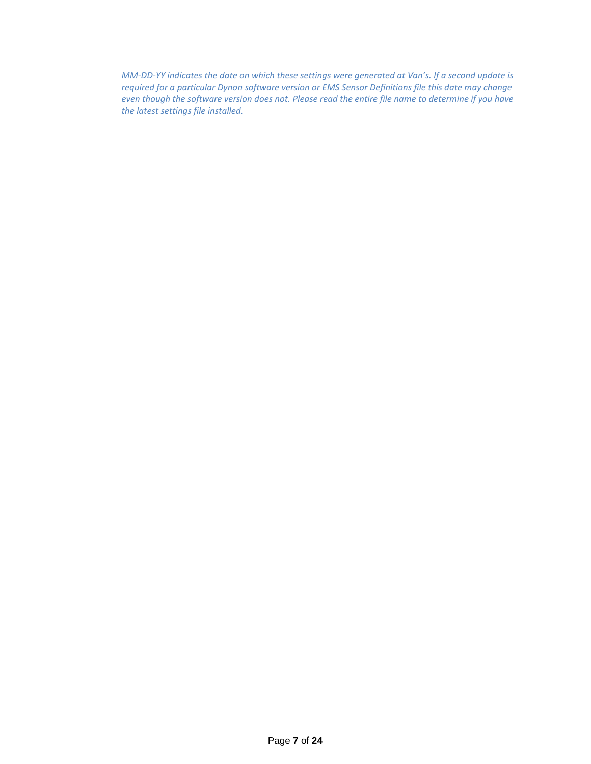*MM-DD-YY indicates the date on which these settings were generated at Van's. If a second update is required for a particular Dynon software version or EMS Sensor Definitions file this date may change even though the software version does not. Please read the entire file name to determine if you have the latest settings file installed.*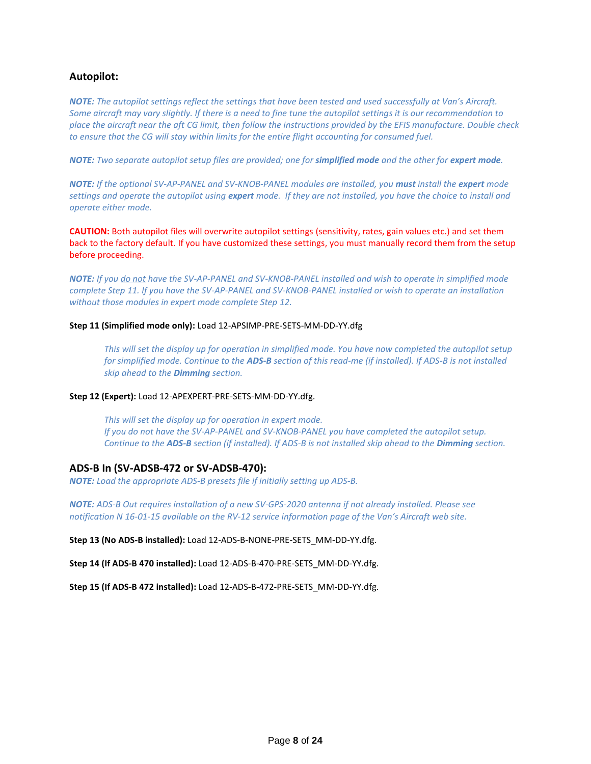## **Autopilot:**

*NOTE: The autopilot settings reflect the settings that have been tested and used successfully at Van's Aircraft. Some aircraft may vary slightly. If there is a need to fine tune the autopilot settings it is our recommendation to place the aircraft near the aft CG limit, then follow the instructions provided by the EFIS manufacture. Double check to ensure that the CG will stay within limits for the entire flight accounting for consumed fuel.*

*NOTE: Two separate autopilot setup files are provided; one for simplified mode and the other for expert mode.* 

*NOTE: If the optional SV-AP-PANEL and SV-KNOB-PANEL modules are installed, you must install the expert mode settings and operate the autopilot using expert mode. If they are not installed, you have the choice to install and operate either mode.*

**CAUTION:** Both autopilot files will overwrite autopilot settings (sensitivity, rates, gain values etc.) and set them back to the factory default. If you have customized these settings, you must manually record them from the setup before proceeding.

*NOTE: If you do not have the SV-AP-PANEL and SV-KNOB-PANEL installed and wish to operate in simplified mode complete Step 11. If you have the SV-AP-PANEL and SV-KNOB-PANEL installed or wish to operate an installation without those modules in expert mode complete Step 12.* 

#### **Step 11 (Simplified mode only):** Load 12-APSIMP-PRE-SETS-MM-DD-YY.dfg

*This will set the display up for operation in simplified mode. You have now completed the autopilot setup for simplified mode. Continue to the ADS-B section of this read-me (if installed). If ADS-B is not installed skip ahead to the Dimming section.*

#### **Step 12 (Expert):** Load 12-APEXPERT-PRE-SETS-MM-DD-YY.dfg.

*This will set the display up for operation in expert mode. If you do not have the SV-AP-PANEL and SV-KNOB-PANEL you have completed the autopilot setup. Continue to the ADS-B section (if installed). If ADS-B is not installed skip ahead to the Dimming section.* 

#### **ADS-B In (SV-ADSB-472 or SV-ADSB-470):**

*NOTE: Load the appropriate ADS-B presets file if initially setting up ADS-B.*

*NOTE: ADS-B Out requires installation of a new SV-GPS-2020 antenna if not already installed. Please see notification N 16-01-15 available on the RV-12 service information page of the Van's Aircraft web site.* 

**Step 13 (No ADS-B installed):** Load 12-ADS-B-NONE-PRE-SETS\_MM-DD-YY.dfg.

**Step 14 (If ADS-B 470 installed):** Load 12-ADS-B-470-PRE-SETS\_MM-DD-YY.dfg.

**Step 15 (If ADS-B 472 installed):** Load 12-ADS-B-472-PRE-SETS\_MM-DD-YY.dfg.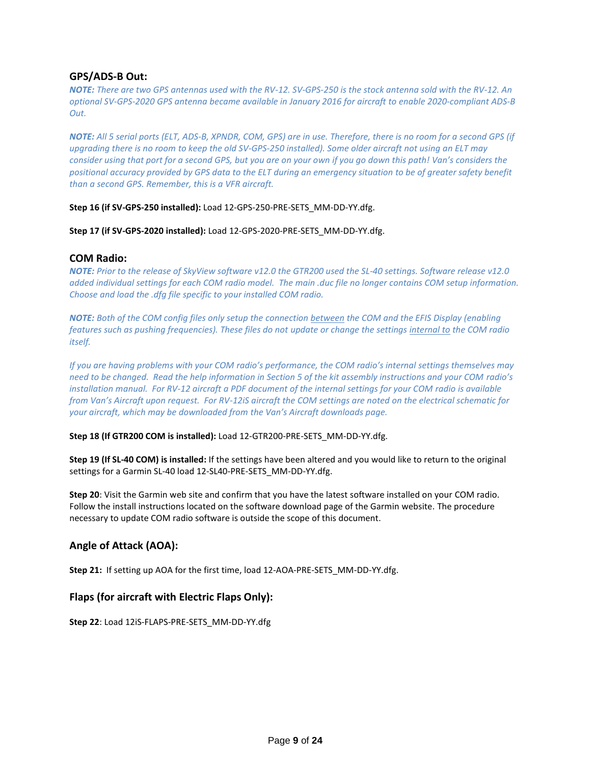### **GPS/ADS-B Out:**

*NOTE: There are two GPS antennas used with the RV-12. SV-GPS-250 is the stock antenna sold with the RV-12. An optional SV-GPS-2020 GPS antenna became available in January 2016 for aircraft to enable 2020-compliant ADS-B Out.* 

*NOTE: All 5 serial ports (ELT, ADS-B, XPNDR, COM, GPS) are in use. Therefore, there is no room for a second GPS (if upgrading there is no room to keep the old SV-GPS-250 installed). Some older aircraft not using an ELT may consider using that port for a second GPS, but you are on your own if you go down this path! Van's considers the positional accuracy provided by GPS data to the ELT during an emergency situation to be of greater safety benefit than a second GPS. Remember, this is a VFR aircraft.* 

#### **Step 16 (if SV-GPS-250 installed):** Load 12-GPS-250-PRE-SETS\_MM-DD-YY.dfg.

**Step 17 (if SV-GPS-2020 installed):** Load 12-GPS-2020-PRE-SETS\_MM-DD-YY.dfg.

#### **COM Radio:**

*NOTE: Prior to the release of SkyView software v12.0 the GTR200 used the SL-40 settings. Software release v12.0 added individual settings for each COM radio model. The main .duc file no longer contains COM setup information. Choose and load the .dfg file specific to your installed COM radio.*

*NOTE: Both of the COM config files only setup the connection between the COM and the EFIS Display (enabling features such as pushing frequencies). These files do not update or change the settings internal to the COM radio itself.*

*If you are having problems with your COM radio's performance, the COM radio's internal settings themselves may need to be changed. Read the help information in Section 5 of the kit assembly instructions and your COM radio's installation manual. For RV-12 aircraft a PDF document of the internal settings for your COM radio is available from Van's Aircraft upon request. For RV-12iS aircraft the COM settings are noted on the electrical schematic for your aircraft, which may be downloaded from the Van's Aircraft downloads page.*

#### **Step 18 (If GTR200 COM is installed):** Load 12-GTR200-PRE-SETS\_MM-DD-YY.dfg.

**Step 19 (If SL-40 COM) is installed:** If the settings have been altered and you would like to return to the original settings for a Garmin SL-40 load 12-SL40-PRE-SETS\_MM-DD-YY.dfg.

**Step 20**: Visit the Garmin web site and confirm that you have the latest software installed on your COM radio. Follow the install instructions located on the software download page of the Garmin website. The procedure necessary to update COM radio software is outside the scope of this document.

## **Angle of Attack (AOA):**

**Step 21:** If setting up AOA for the first time, load 12-AOA-PRE-SETS\_MM-DD-YY.dfg.

## **Flaps (for aircraft with Electric Flaps Only):**

**Step 22**: Load 12iS-FLAPS-PRE-SETS\_MM-DD-YY.dfg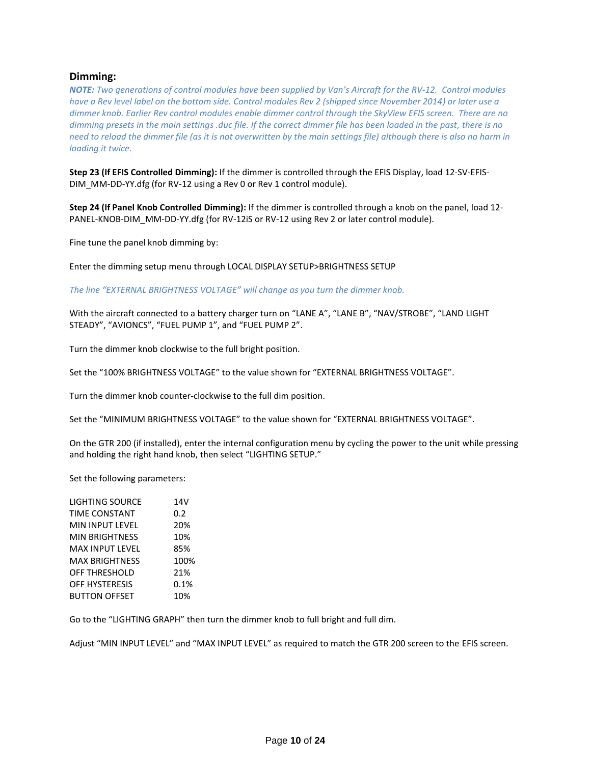## **Dimming:**

*NOTE: Two generations of control modules have been supplied by Van's Aircraft for the RV-12. Control modules have a Rev level label on the bottom side. Control modules Rev 2 (shipped since November 2014) or later use a dimmer knob. Earlier Rev control modules enable dimmer control through the SkyView EFIS screen. There are no dimming presets in the main settings .duc file. If the correct dimmer file has been loaded in the past, there is no need to reload the dimmer file (as it is not overwritten by the main settings file) although there is also no harm in loading it twice.* 

**Step 23 (If EFIS Controlled Dimming):** If the dimmer is controlled through the EFIS Display, load 12-SV-EFIS-DIM\_MM-DD-YY.dfg (for RV-12 using a Rev 0 or Rev 1 control module).

**Step 24 (If Panel Knob Controlled Dimming):** If the dimmer is controlled through a knob on the panel, load 12- PANEL-KNOB-DIM\_MM-DD-YY.dfg (for RV-12iS or RV-12 using Rev 2 or later control module).

Fine tune the panel knob dimming by:

Enter the dimming setup menu through LOCAL DISPLAY SETUP>BRIGHTNESS SETUP

*The line "EXTERNAL BRIGHTNESS VOLTAGE" will change as you turn the dimmer knob.* 

With the aircraft connected to a battery charger turn on "LANE A", "LANE B", "NAV/STROBE", "LAND LIGHT STEADY", "AVIONCS", "FUEL PUMP 1", and "FUEL PUMP 2".

Turn the dimmer knob clockwise to the full bright position.

Set the "100% BRIGHTNESS VOLTAGE" to the value shown for "EXTERNAL BRIGHTNESS VOLTAGE".

Turn the dimmer knob counter-clockwise to the full dim position.

Set the "MINIMUM BRIGHTNESS VOLTAGE" to the value shown for "EXTERNAL BRIGHTNESS VOLTAGE".

On the GTR 200 (if installed), enter the internal configuration menu by cycling the power to the unit while pressing and holding the right hand knob, then select "LIGHTING SETUP."

Set the following parameters:

| <b>LIGHTING SOURCE</b> | 14V  |
|------------------------|------|
| <b>TIME CONSTANT</b>   | 0.2  |
| MIN INPUT LEVEL        | 20%  |
| <b>MIN BRIGHTNESS</b>  | 10%  |
| <b>MAX INPUT LEVEL</b> | 85%  |
| <b>MAX BRIGHTNESS</b>  | 100% |
| <b>OFF THRESHOLD</b>   | 21%  |
| <b>OFF HYSTERESIS</b>  | 0.1% |
| <b>BUTTON OFFSET</b>   | 10%  |

Go to the "LIGHTING GRAPH" then turn the dimmer knob to full bright and full dim.

Adjust "MIN INPUT LEVEL" and "MAX INPUT LEVEL" as required to match the GTR 200 screen to the EFIS screen.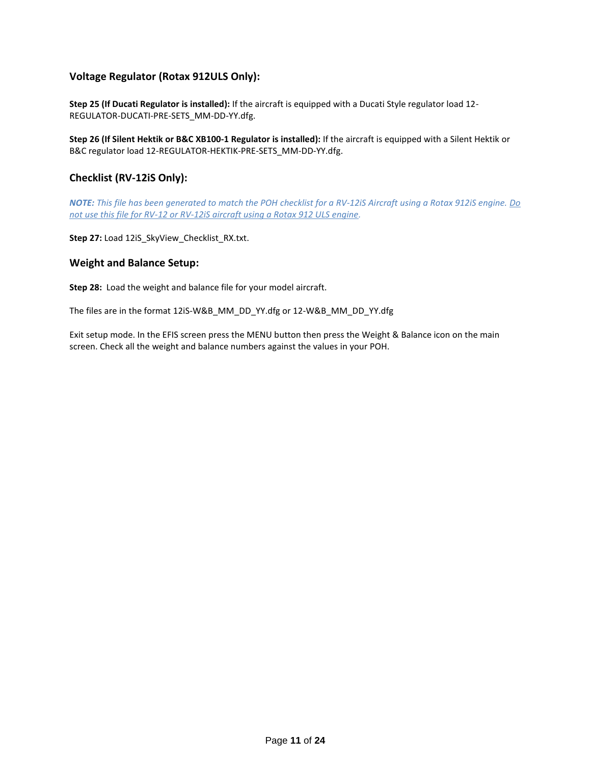## **Voltage Regulator (Rotax 912ULS Only):**

**Step 25 (If Ducati Regulator is installed):** If the aircraft is equipped with a Ducati Style regulator load 12- REGULATOR-DUCATI-PRE-SETS\_MM-DD-YY.dfg.

**Step 26 (If Silent Hektik or B&C XB100-1 Regulator is installed):** If the aircraft is equipped with a Silent Hektik or B&C regulator load 12-REGULATOR-HEKTIK-PRE-SETS\_MM-DD-YY.dfg.

## **Checklist (RV-12iS Only):**

*NOTE: This file has been generated to match the POH checklist for a RV-12iS Aircraft using a Rotax 912iS engine. Do not use this file for RV-12 or RV-12iS aircraft using a Rotax 912 ULS engine.*

**Step 27:** Load 12iS\_SkyView\_Checklist\_RX.txt.

### **Weight and Balance Setup:**

**Step 28:** Load the weight and balance file for your model aircraft.

The files are in the format 12iS-W&B\_MM\_DD\_YY.dfg or 12-W&B\_MM\_DD\_YY.dfg

Exit setup mode. In the EFIS screen press the MENU button then press the Weight & Balance icon on the main screen. Check all the weight and balance numbers against the values in your POH.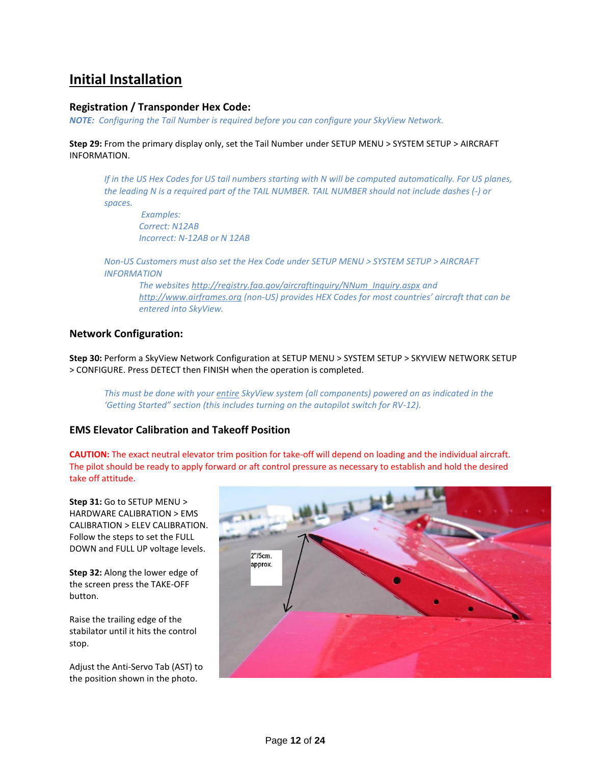# **Initial Installation**

## **Registration / Transponder Hex Code:**

*NOTE: Configuring the Tail Number is required before you can configure your SkyView Network.* 

**Step 29:** From the primary display only, set the Tail Number under SETUP MENU > SYSTEM SETUP > AIRCRAFT INFORMATION.

*If in the US Hex Codes for US tail numbers starting with N will be computed automatically. For US planes, the leading N is a required part of the TAIL NUMBER. TAIL NUMBER should not include dashes (-) or spaces.*

*Examples: Correct: N12AB Incorrect: N-12AB or N 12AB*

*Non-US Customers must also set the Hex Code under SETUP MENU > SYSTEM SETUP > AIRCRAFT INFORMATION*

*The website[s http://registry.faa.gov/aircraftinquiry/NNum\\_Inquiry.aspx](http://registry.faa.gov/aircraftinquiry/NNum_Inquiry.aspx) and [http://www.airframes.org](http://www.airframes.org/) (non-US) provides HEX Codes for most countries' aircraft that can be entered into SkyView.*

## **Network Configuration:**

**Step 30:** Perform a SkyView Network Configuration at SETUP MENU > SYSTEM SETUP > SKYVIEW NETWORK SETUP > CONFIGURE. Press DETECT then FINISH when the operation is completed.

*This must be done with your entire SkyView system (all components) powered on as indicated in the 'Getting Started" section (this includes turning on the autopilot switch for RV-12).* 

## **EMS Elevator Calibration and Takeoff Position**

**CAUTION:** The exact neutral elevator trim position for take-off will depend on loading and the individual aircraft. The pilot should be ready to apply forward or aft control pressure as necessary to establish and hold the desired take off attitude.

**Step 31:** Go to SETUP MENU > HARDWARE CALIBRATION > EMS CALIBRATION > ELEV CALIBRATION. Follow the steps to set the FULL DOWN and FULL UP voltage levels.

**Step 32:** Along the lower edge of the screen press the TAKE-OFF button.

Raise the trailing edge of the stabilator until it hits the control stop.

Adjust the Anti-Servo Tab (AST) to the position shown in the photo.

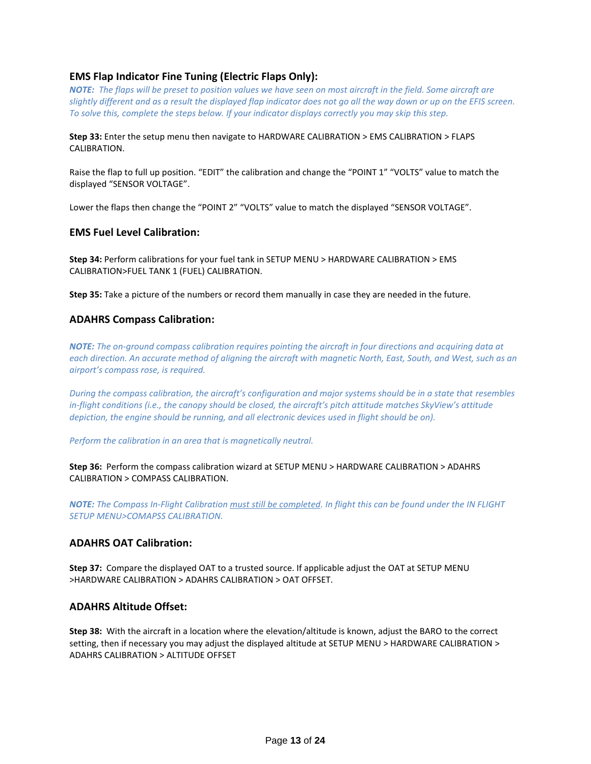## **EMS Flap Indicator Fine Tuning (Electric Flaps Only):**

*NOTE: The flaps will be preset to position values we have seen on most aircraft in the field. Some aircraft are slightly different and as a result the displayed flap indicator does not go all the way down or up on the EFIS screen. To solve this, complete the steps below. If your indicator displays correctly you may skip this step.* 

#### **Step 33:** Enter the setup menu then navigate to HARDWARE CALIBRATION > EMS CALIBRATION > FLAPS CALIBRATION.

Raise the flap to full up position. "EDIT" the calibration and change the "POINT 1" "VOLTS" value to match the displayed "SENSOR VOLTAGE".

Lower the flaps then change the "POINT 2" "VOLTS" value to match the displayed "SENSOR VOLTAGE".

### **EMS Fuel Level Calibration:**

**Step 34:** Perform calibrations for your fuel tank in SETUP MENU > HARDWARE CALIBRATION > EMS CALIBRATION>FUEL TANK 1 (FUEL) CALIBRATION.

**Step 35:** Take a picture of the numbers or record them manually in case they are needed in the future.

### **ADAHRS Compass Calibration:**

*NOTE: The on-ground compass calibration requires pointing the aircraft in four directions and acquiring data at each direction. An accurate method of aligning the aircraft with magnetic North, East, South, and West, such as an airport's compass rose, is required.* 

*During the compass calibration, the aircraft's configuration and major systems should be in a state that resembles in-flight conditions (i.e., the canopy should be closed, the aircraft's pitch attitude matches SkyView's attitude depiction, the engine should be running, and all electronic devices used in flight should be on).*

*Perform the calibration in an area that is magnetically neutral.* 

**Step 36:** Perform the compass calibration wizard at SETUP MENU > HARDWARE CALIBRATION > ADAHRS CALIBRATION > COMPASS CALIBRATION.

*NOTE: The Compass In-Flight Calibration must still be completed. In flight this can be found under the IN FLIGHT SETUP MENU>COMAPSS CALIBRATION.*

## **ADAHRS OAT Calibration:**

**Step 37:** Compare the displayed OAT to a trusted source. If applicable adjust the OAT at SETUP MENU >HARDWARE CALIBRATION > ADAHRS CALIBRATION > OAT OFFSET.

### **ADAHRS Altitude Offset:**

**Step 38:** With the aircraft in a location where the elevation/altitude is known, adjust the BARO to the correct setting, then if necessary you may adjust the displayed altitude at SETUP MENU > HARDWARE CALIBRATION > ADAHRS CALIBRATION > ALTITUDE OFFSET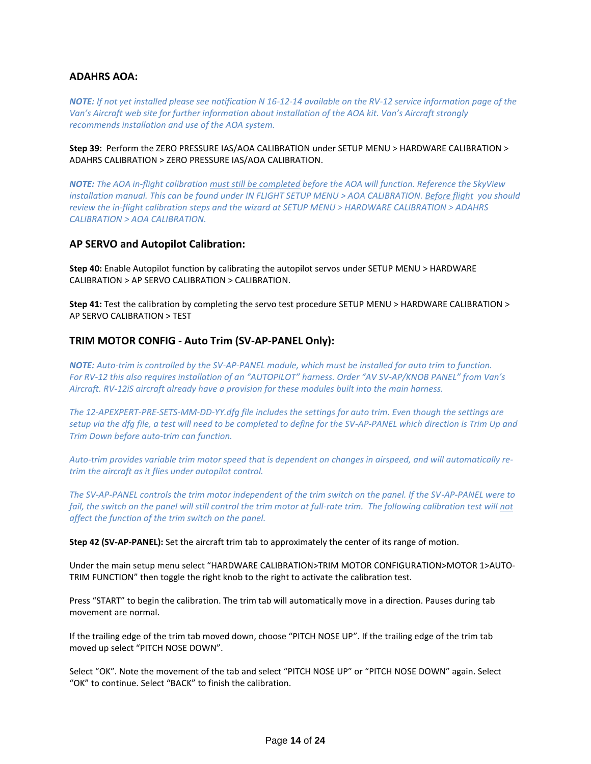## **ADAHRS AOA:**

*NOTE: If not yet installed please see notification N 16-12-14 available on the RV-12 service information page of the Van's Aircraft web site for further information about installation of the AOA kit. Van's Aircraft strongly recommends installation and use of the AOA system.* 

**Step 39:** Perform the ZERO PRESSURE IAS/AOA CALIBRATION under SETUP MENU > HARDWARE CALIBRATION > ADAHRS CALIBRATION > ZERO PRESSURE IAS/AOA CALIBRATION.

*NOTE: The AOA in-flight calibration must still be completed before the AOA will function. Reference the SkyView installation manual. This can be found under IN FLIGHT SETUP MENU > AOA CALIBRATION. Before flight you should review the in-flight calibration steps and the wizard at SETUP MENU > HARDWARE CALIBRATION > ADAHRS CALIBRATION > AOA CALIBRATION.*

### **AP SERVO and Autopilot Calibration:**

**Step 40:** Enable Autopilot function by calibrating the autopilot servos under SETUP MENU > HARDWARE CALIBRATION > AP SERVO CALIBRATION > CALIBRATION.

**Step 41:** Test the calibration by completing the servo test procedure SETUP MENU > HARDWARE CALIBRATION > AP SERVO CALIBRATION > TEST

#### **TRIM MOTOR CONFIG - Auto Trim (SV-AP-PANEL Only):**

*NOTE: Auto-trim is controlled by the SV-AP-PANEL module, which must be installed for auto trim to function. For RV-12 this also requires installation of an "AUTOPILOT" harness. Order "AV SV-AP/KNOB PANEL" from Van's Aircraft. RV-12iS aircraft already have a provision for these modules built into the main harness.*

*The 12-APEXPERT-PRE-SETS-MM-DD-YY.dfg file includes the settings for auto trim. Even though the settings are setup via the dfg file, a test will need to be completed to define for the SV-AP-PANEL which direction is Trim Up and Trim Down before auto-trim can function.* 

*Auto-trim provides variable trim motor speed that is dependent on changes in airspeed, and will automatically retrim the aircraft as it flies under autopilot control.*

*The SV-AP-PANEL controls the trim motor independent of the trim switch on the panel. If the SV-AP-PANEL were to fail, the switch on the panel will still control the trim motor at full-rate trim. The following calibration test will not affect the function of the trim switch on the panel.*

**Step 42 (SV-AP-PANEL):** Set the aircraft trim tab to approximately the center of its range of motion.

Under the main setup menu select "HARDWARE CALIBRATION>TRIM MOTOR CONFIGURATION>MOTOR 1>AUTO-TRIM FUNCTION" then toggle the right knob to the right to activate the calibration test.

Press "START" to begin the calibration. The trim tab will automatically move in a direction. Pauses during tab movement are normal.

If the trailing edge of the trim tab moved down, choose "PITCH NOSE UP". If the trailing edge of the trim tab moved up select "PITCH NOSE DOWN".

Select "OK". Note the movement of the tab and select "PITCH NOSE UP" or "PITCH NOSE DOWN" again. Select "OK" to continue. Select "BACK" to finish the calibration.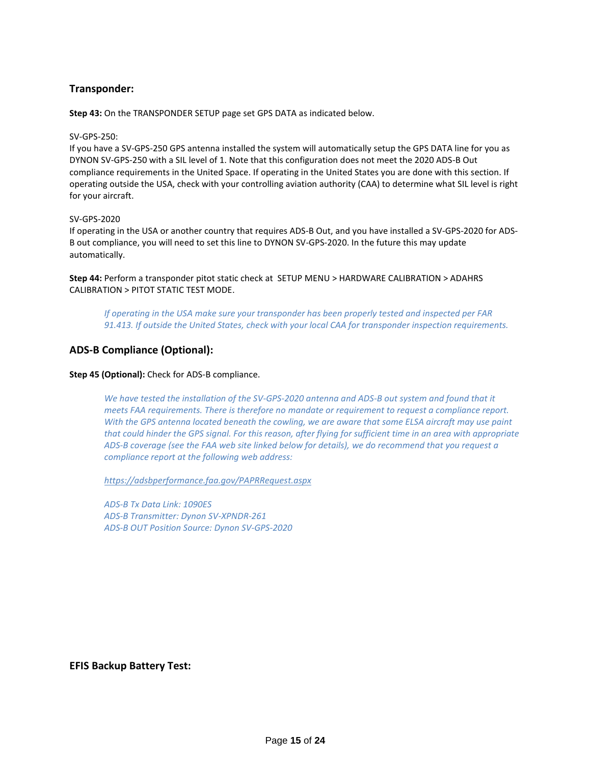## **Transponder:**

**Step 43:** On the TRANSPONDER SETUP page set GPS DATA as indicated below.

#### SV-GPS-250:

If you have a SV-GPS-250 GPS antenna installed the system will automatically setup the GPS DATA line for you as DYNON SV-GPS-250 with a SIL level of 1. Note that this configuration does not meet the 2020 ADS-B Out compliance requirements in the United Space. If operating in the United States you are done with this section. If operating outside the USA, check with your controlling aviation authority (CAA) to determine what SIL level is right for your aircraft.

#### SV-GPS-2020

If operating in the USA or another country that requires ADS-B Out, and you have installed a SV-GPS-2020 for ADS-B out compliance, you will need to set this line to DYNON SV-GPS-2020. In the future this may update automatically.

**Step 44:** Perform a transponder pitot static check at SETUP MENU > HARDWARE CALIBRATION > ADAHRS CALIBRATION > PITOT STATIC TEST MODE.

*If operating in the USA make sure your transponder has been properly tested and inspected per FAR 91.413. If outside the United States, check with your local CAA for transponder inspection requirements.* 

## **ADS-B Compliance (Optional):**

#### **Step 45 (Optional):** Check for ADS-B compliance.

*We have tested the installation of the SV-GPS-2020 antenna and ADS-B out system and found that it meets FAA requirements. There is therefore no mandate or requirement to request a compliance report. With the GPS antenna located beneath the cowling, we are aware that some ELSA aircraft may use paint that could hinder the GPS signal. For this reason, after flying for sufficient time in an area with appropriate ADS-B coverage (see the FAA web site linked below for details), we do recommend that you request a compliance report at the following web address:*

*<https://adsbperformance.faa.gov/PAPRRequest.aspx>*

*ADS-B Tx Data Link: 1090ES ADS-B Transmitter: Dynon SV-XPNDR-261 ADS-B OUT Position Source: Dynon SV-GPS-2020*

#### **EFIS Backup Battery Test:**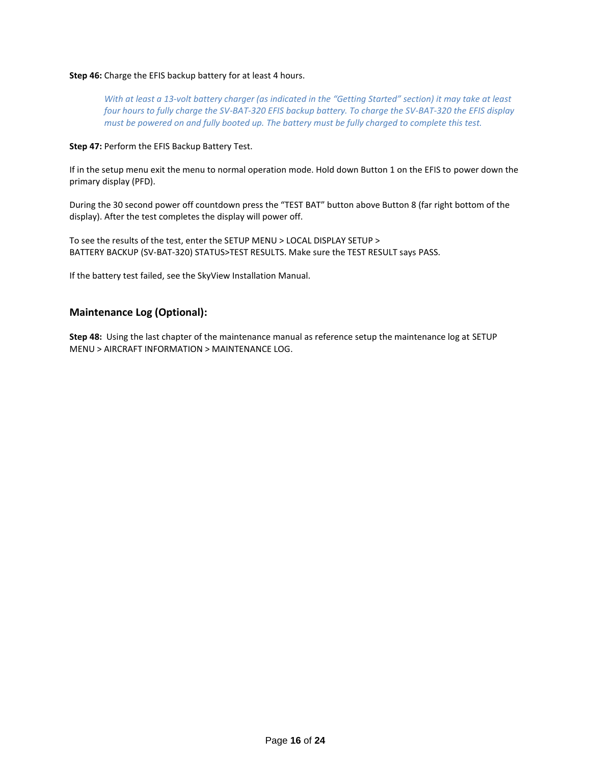#### **Step 46:** Charge the EFIS backup battery for at least 4 hours.

*With at least a 13-volt battery charger (as indicated in the "Getting Started" section) it may take at least four hours to fully charge the SV-BAT-320 EFIS backup battery. To charge the SV-BAT-320 the EFIS display must be powered on and fully booted up. The battery must be fully charged to complete this test.* 

#### **Step 47:** Perform the EFIS Backup Battery Test.

If in the setup menu exit the menu to normal operation mode. Hold down Button 1 on the EFIS to power down the primary display (PFD).

During the 30 second power off countdown press the "TEST BAT" button above Button 8 (far right bottom of the display). After the test completes the display will power off.

To see the results of the test, enter the SETUP MENU > LOCAL DISPLAY SETUP > BATTERY BACKUP (SV-BAT-320) STATUS>TEST RESULTS. Make sure the TEST RESULT says PASS.

If the battery test failed, see the SkyView Installation Manual.

## **Maintenance Log (Optional):**

**Step 48:** Using the last chapter of the maintenance manual as reference setup the maintenance log at SETUP MENU > AIRCRAFT INFORMATION > MAINTENANCE LOG.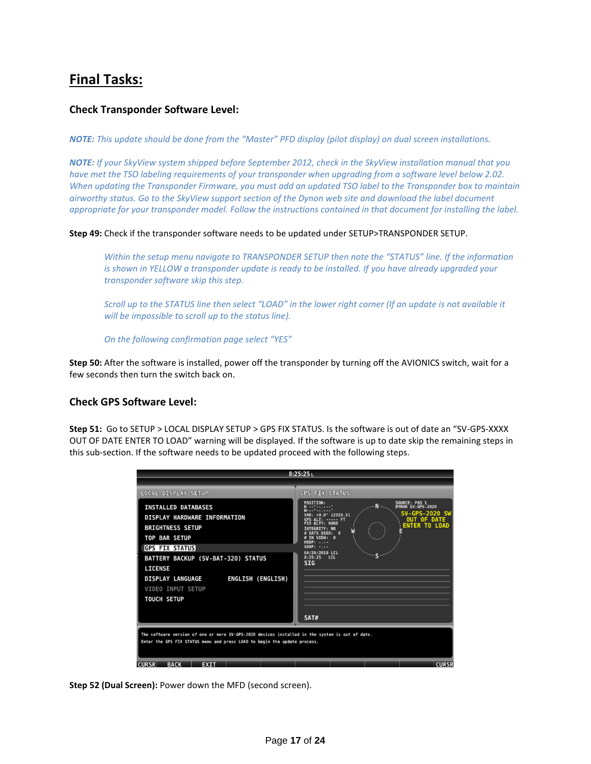# **Final Tasks:**

## **Check Transponder Software Level:**

*NOTE: This update should be done from the "Master" PFD display (pilot display) on dual screen installations.*

*NOTE: If your SkyView system shipped before September 2012, check in the SkyView installation manual that you have met the TSO labeling requirements of your transponder when upgrading from a software level below 2.02. When updating the Transponder Firmware, you must add an updated TSO label to the Transponder box to maintain airworthy status. Go to the SkyView support section of the Dynon web site and download the label document appropriate for your transponder model. Follow the instructions contained in that document for installing the label.*

**Step 49:** Check if the transponder software needs to be updated under SETUP>TRANSPONDER SETUP.

*Within the setup menu navigate to TRANSPONDER SETUP then note the "STATUS" line. If the information is shown in YELLOW a transponder update is ready to be installed. If you have already upgraded your transponder software skip this step.* 

*Scroll up to the STATUS line then select "LOAD" in the lower right corner (If an update is not available it will be impossible to scroll up to the status line).* 

*On the following confirmation page select "YES"*

**Step 50:** After the software is installed, power off the transponder by turning off the AVIONICS switch, wait for a few seconds then turn the switch back on.

## **Check GPS Software Level:**

**Step 51:** Go to SETUP > LOCAL DISPLAY SETUP > GPS FIX STATUS. Is the software is out of date an "SV-GPS-XXXX OUT OF DATE ENTER TO LOAD" warning will be displayed. If the software is up to date skip the remaining steps in this sub-section. If the software needs to be updated proceed with the following steps.

| 8:25:25L                                                                                                                                                                                                                                                                                         |                                                                                                                                                                                                                                                                                                                                                                                                    |  |
|--------------------------------------------------------------------------------------------------------------------------------------------------------------------------------------------------------------------------------------------------------------------------------------------------|----------------------------------------------------------------------------------------------------------------------------------------------------------------------------------------------------------------------------------------------------------------------------------------------------------------------------------------------------------------------------------------------------|--|
|                                                                                                                                                                                                                                                                                                  |                                                                                                                                                                                                                                                                                                                                                                                                    |  |
| LOCAL DISPLAY SETUP                                                                                                                                                                                                                                                                              | <b>GPS FIX STATUS</b>                                                                                                                                                                                                                                                                                                                                                                              |  |
| <b>INSTALLED DATABASES</b><br>DISPLAY HARDWARE INFORMATION<br><b>BRIGHTNESS SETUP</b><br><b>TOP BAR SETUP</b><br><b>GPS FIX STATUS</b><br>BATTERY BACKUP (SV-BAT-320) STATUS<br><b>LICENSE</b><br>ENGLISH (ENGLISH)<br><b>DISPLAY LANGUAGE</b><br><b>VIDEO INPUT SETUP</b><br><b>TOUCH SETUP</b> | <b>POSITION:</b><br>SOURCE: POS 1<br>DYNON SV-GPS-2020<br>N<br>°<br> ---°-- ---'<br><b>SV-GPS-2020 SW</b><br>VAR: $+0.0$ <sup>o</sup> (2019.3)<br><b>OUT OF DATE</b><br>GPS ALT: ----- FT<br>OLTY: NONE<br><b>ENTER TO LOAD</b><br><b>INTEGRITY: NO</b><br>$\mathbf{r}$<br><b>SATS USED:</b><br>TN VTFW: 0<br>$HDOP: - - - -$<br>$VDOP: - - - -$<br>04/20/2019 LCL<br>8:25:25<br>LCL<br><b>SIG</b> |  |
|                                                                                                                                                                                                                                                                                                  | SAT#                                                                                                                                                                                                                                                                                                                                                                                               |  |
| The software version of one or more SV-GPS-2020 devices installed in the system is out of date.<br>Enter the GPS FIX STATUS menu and press LOAD to begin the update process.                                                                                                                     |                                                                                                                                                                                                                                                                                                                                                                                                    |  |
| <b>CURSR</b><br><b>EXIT</b><br><b>BACK</b>                                                                                                                                                                                                                                                       | <b>CURSR</b>                                                                                                                                                                                                                                                                                                                                                                                       |  |

**Step 52 (Dual Screen):** Power down the MFD (second screen).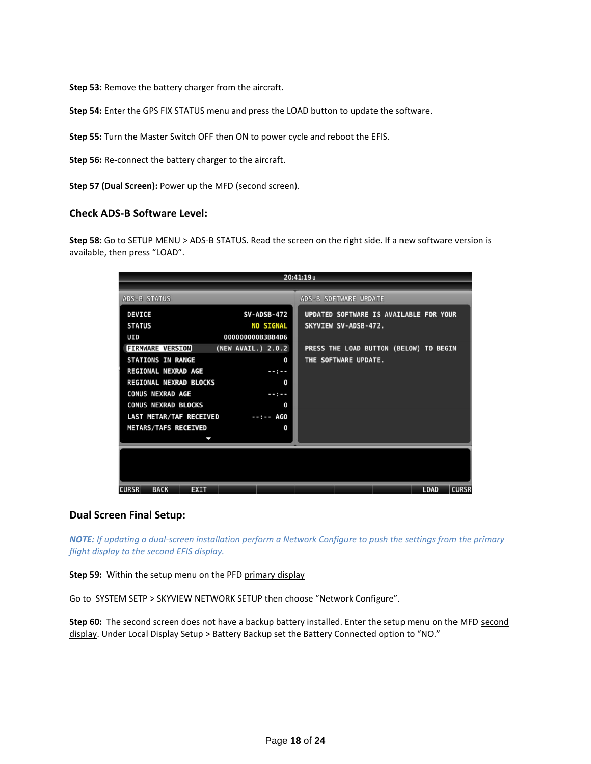**Step 53:** Remove the battery charger from the aircraft.

**Step 54:** Enter the GPS FIX STATUS menu and press the LOAD button to update the software.

**Step 55:** Turn the Master Switch OFF then ON to power cycle and reboot the EFIS.

**Step 56:** Re-connect the battery charger to the aircraft.

**Step 57 (Dual Screen):** Power up the MFD (second screen).

#### **Check ADS-B Software Level:**

**Step 58:** Go to SETUP MENU > ADS-B STATUS. Read the screen on the right side. If a new software version is available, then press "LOAD".

| 20:41:19u                                                                                                                                                                                                                                                                                                                                                                |                                                                                                                                                                     |  |
|--------------------------------------------------------------------------------------------------------------------------------------------------------------------------------------------------------------------------------------------------------------------------------------------------------------------------------------------------------------------------|---------------------------------------------------------------------------------------------------------------------------------------------------------------------|--|
|                                                                                                                                                                                                                                                                                                                                                                          |                                                                                                                                                                     |  |
| <b>ADS-B STATUS</b>                                                                                                                                                                                                                                                                                                                                                      | ADS-B SOFTWARE UPDATE                                                                                                                                               |  |
| <b>DEVICE</b><br><b>SV-ADSB-472</b><br><b>STATUS</b><br><b>NO SIGNAL</b><br>UID<br>000000000B3BB4D6<br><b>FIRMWARE VERSION</b><br>(NEW AVAIL.) 2.0.2<br><b>STATIONS IN RANGE</b><br><b>REGIONAL NEXRAD AGE</b><br>$-0.5 - 0.5$<br>REGIONAL NEXRAD BLOCKS<br><b>CONUS NEXRAD AGE</b><br>$- - - - -$<br><b>CONUS NEXRAD BLOCKS</b><br>LAST METAR/TAF RECEIVED<br>--:-- AGO | UPDATED SOFTWARE IS AVAILABLE FOR YOUR<br>SKYVIEW SV-ADSB-472.<br>PRESS THE LOAD BUTTON (BELOW) TO BEGIN<br>THE SOFTWARE UPDATE.<br>0<br>$\mathbf 0$<br>$\mathbf 0$ |  |
| <b>METARS/TAFS RECEIVED</b><br>J                                                                                                                                                                                                                                                                                                                                         | 0                                                                                                                                                                   |  |
| <b>CURSR</b><br><b>BACK</b><br><b>EXIT</b>                                                                                                                                                                                                                                                                                                                               | <b>CURSR</b><br><b>LOAD</b>                                                                                                                                         |  |

#### **Dual Screen Final Setup:**

*NOTE: If updating a dual-screen installation perform a Network Configure to push the settings from the primary flight display to the second EFIS display.*

**Step 59:** Within the setup menu on the PFD primary display

Go to SYSTEM SETP > SKYVIEW NETWORK SETUP then choose "Network Configure".

Step 60: The second screen does not have a backup battery installed. Enter the setup menu on the MFD second display. Under Local Display Setup > Battery Backup set the Battery Connected option to "NO."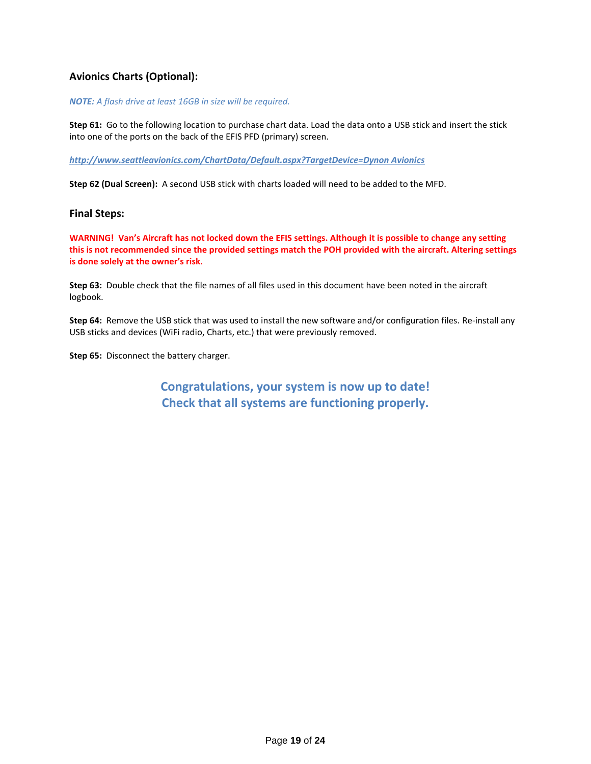## **Avionics Charts (Optional):**

#### *NOTE: A flash drive at least 16GB in size will be required.*

**Step 61:** Go to the following location to purchase chart data. Load the data onto a USB stick and insert the stick into one of the ports on the back of the EFIS PFD (primary) screen.

*http://www.seattleavionics.com/ChartData/Default.aspx?TargetDevice=Dynon Avionics*

**Step 62 (Dual Screen):** A second USB stick with charts loaded will need to be added to the MFD.

#### **Final Steps:**

**WARNING! Van's Aircraft has not locked down the EFIS settings. Although it is possible to change any setting this is not recommended since the provided settings match the POH provided with the aircraft. Altering settings is done solely at the owner's risk.** 

**Step 63:** Double check that the file names of all files used in this document have been noted in the aircraft logbook.

**Step 64:** Remove the USB stick that was used to install the new software and/or configuration files. Re-install any USB sticks and devices (WiFi radio, Charts, etc.) that were previously removed.

**Step 65:** Disconnect the battery charger.

**Congratulations, your system is now up to date! Check that all systems are functioning properly.**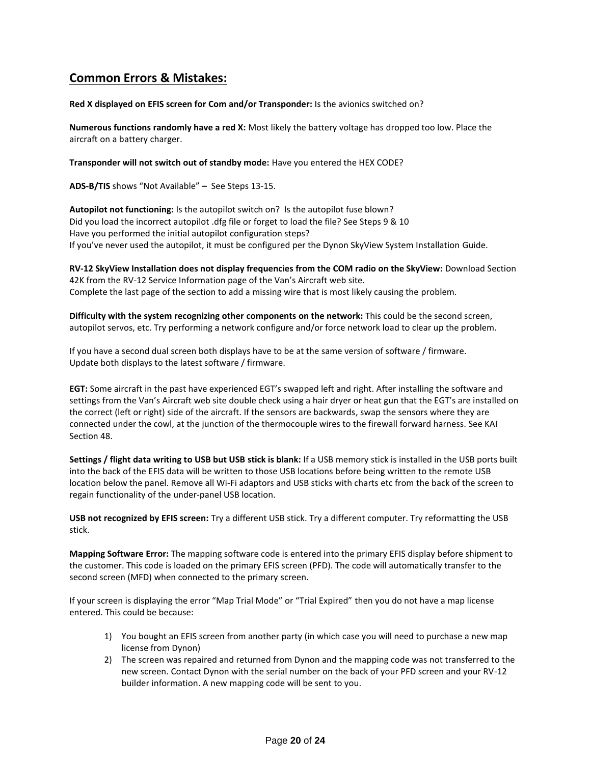## **Common Errors & Mistakes:**

#### **Red X displayed on EFIS screen for Com and/or Transponder:** Is the avionics switched on?

**Numerous functions randomly have a red X:** Most likely the battery voltage has dropped too low. Place the aircraft on a battery charger.

**Transponder will not switch out of standby mode:** Have you entered the HEX CODE?

**ADS-B/TIS** shows "Not Available" **–** See Steps 13-15.

**Autopilot not functioning:** Is the autopilot switch on? Is the autopilot fuse blown? Did you load the incorrect autopilot .dfg file or forget to load the file? See Steps 9 & 10 Have you performed the initial autopilot configuration steps? If you've never used the autopilot, it must be configured per the Dynon SkyView System Installation Guide.

**RV-12 SkyView Installation does not display frequencies from the COM radio on the SkyView:** Download Section 42K from the RV-12 Service Information page of the Van's Aircraft web site. Complete the last page of the section to add a missing wire that is most likely causing the problem.

**Difficulty with the system recognizing other components on the network:** This could be the second screen, autopilot servos, etc. Try performing a network configure and/or force network load to clear up the problem.

If you have a second dual screen both displays have to be at the same version of software / firmware. Update both displays to the latest software / firmware.

**EGT:** Some aircraft in the past have experienced EGT's swapped left and right. After installing the software and settings from the Van's Aircraft web site double check using a hair dryer or heat gun that the EGT's are installed on the correct (left or right) side of the aircraft. If the sensors are backwards, swap the sensors where they are connected under the cowl, at the junction of the thermocouple wires to the firewall forward harness. See KAI Section 48.

**Settings / flight data writing to USB but USB stick is blank:** If a USB memory stick is installed in the USB ports built into the back of the EFIS data will be written to those USB locations before being written to the remote USB location below the panel. Remove all Wi-Fi adaptors and USB sticks with charts etc from the back of the screen to regain functionality of the under-panel USB location.

**USB not recognized by EFIS screen:** Try a different USB stick. Try a different computer. Try reformatting the USB stick.

**Mapping Software Error:** The mapping software code is entered into the primary EFIS display before shipment to the customer. This code is loaded on the primary EFIS screen (PFD). The code will automatically transfer to the second screen (MFD) when connected to the primary screen.

If your screen is displaying the error "Map Trial Mode" or "Trial Expired" then you do not have a map license entered. This could be because:

- 1) You bought an EFIS screen from another party (in which case you will need to purchase a new map license from Dynon)
- 2) The screen was repaired and returned from Dynon and the mapping code was not transferred to the new screen. Contact Dynon with the serial number on the back of your PFD screen and your RV-12 builder information. A new mapping code will be sent to you.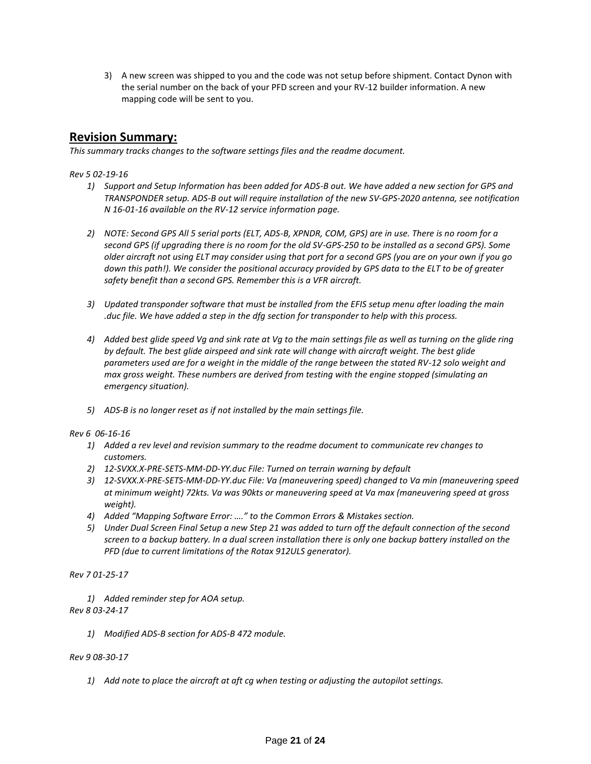3) A new screen was shipped to you and the code was not setup before shipment. Contact Dynon with the serial number on the back of your PFD screen and your RV-12 builder information. A new mapping code will be sent to you.

## **Revision Summary:**

*This summary tracks changes to the software settings files and the readme document.* 

#### *Rev 5 02-19-16*

- *1) Support and Setup Information has been added for ADS-B out. We have added a new section for GPS and TRANSPONDER setup. ADS-B out will require installation of the new SV-GPS-2020 antenna, see notification N 16-01-16 available on the RV-12 service information page.*
- *2) NOTE: Second GPS All 5 serial ports (ELT, ADS-B, XPNDR, COM, GPS) are in use. There is no room for a second GPS (if upgrading there is no room for the old SV-GPS-250 to be installed as a second GPS). Some older aircraft not using ELT may consider using that port for a second GPS (you are on your own if you go down this path!). We consider the positional accuracy provided by GPS data to the ELT to be of greater safety benefit than a second GPS. Remember this is a VFR aircraft.*
- *3) Updated transponder software that must be installed from the EFIS setup menu after loading the main .duc file. We have added a step in the dfg section for transponder to help with this process.*
- *4) Added best glide speed Vg and sink rate at Vg to the main settings file as well as turning on the glide ring by default. The best glide airspeed and sink rate will change with aircraft weight. The best glide parameters used are for a weight in the middle of the range between the stated RV-12 solo weight and max gross weight. These numbers are derived from testing with the engine stopped (simulating an emergency situation).*
- *5) ADS-B is no longer reset as if not installed by the main settings file.*

*Rev 6 06-16-16*

- *1) Added a rev level and revision summary to the readme document to communicate rev changes to customers.*
- *2) 12-SVXX.X-PRE-SETS-MM-DD-YY.duc File: Turned on terrain warning by default*
- *3) 12-SVXX.X-PRE-SETS-MM-DD-YY.duc File: Va (maneuvering speed) changed to Va min (maneuvering speed at minimum weight) 72kts. Va was 90kts or maneuvering speed at Va max (maneuvering speed at gross weight).*
- *4) Added "Mapping Software Error: …." to the Common Errors & Mistakes section.*
- *5) Under Dual Screen Final Setup a new Step 21 was added to turn off the default connection of the second screen to a backup battery. In a dual screen installation there is only one backup battery installed on the PFD (due to current limitations of the Rotax 912ULS generator).*

*Rev 7 01-25-17*

*1) Added reminder step for AOA setup. Rev 8 03-24-17*

*1) Modified ADS-B section for ADS-B 472 module.*

#### *Rev 9 08-30-17*

*1) Add note to place the aircraft at aft cg when testing or adjusting the autopilot settings.*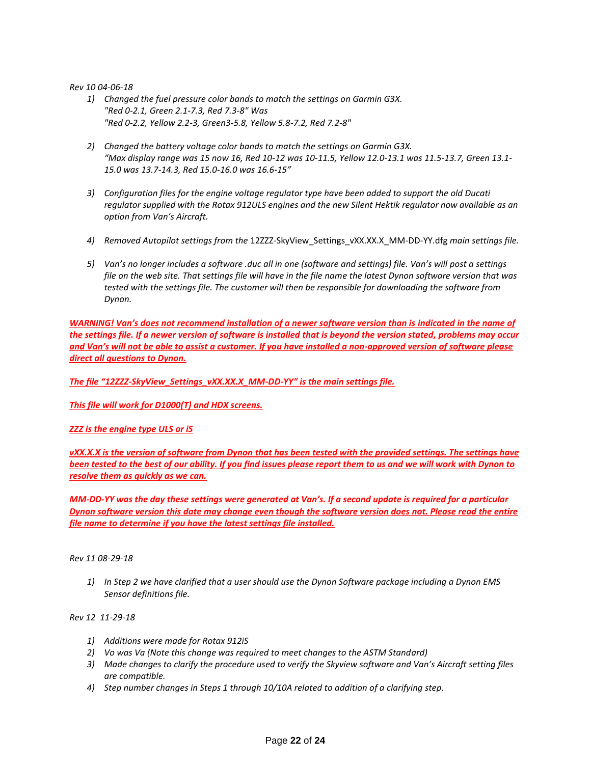#### *Rev 10 04-06-18*

- *1) Changed the fuel pressure color bands to match the settings on Garmin G3X. "Red 0-2.1, Green 2.1-7.3, Red 7.3-8" Was "Red 0-2.2, Yellow 2.2-3, Green3-5.8, Yellow 5.8-7.2, Red 7.2-8"*
- *2) Changed the battery voltage color bands to match the settings on Garmin G3X. "Max display range was 15 now 16, Red 10-12 was 10-11.5, Yellow 12.0-13.1 was 11.5-13.7, Green 13.1- 15.0 was 13.7-14.3, Red 15.0-16.0 was 16.6-15"*
- *3) Configuration files for the engine voltage regulator type have been added to support the old Ducati regulator supplied with the Rotax 912ULS engines and the new Silent Hektik regulator now available as an option from Van's Aircraft.*
- *4) Removed Autopilot settings from the* 12ZZZ-SkyView\_Settings\_vXX.XX.X\_MM-DD-YY.dfg *main settings file.*
- *5) Van's no longer includes a software .duc all in one (software and settings) file. Van's will post a settings file on the web site. That settings file will have in the file name the latest Dynon software version that was tested with the settings file. The customer will then be responsible for downloading the software from Dynon.*

*WARNING! Van's does not recommend installation of a newer software version than is indicated in the name of the settings file. If a newer version of software is installed that is beyond the version stated, problems may occur and Van's will not be able to assist a customer. If you have installed a non-approved version of software please direct all questions to Dynon.*

*The file "12ZZZ-SkyView\_Settings\_vXX.XX.X\_MM-DD-YY" is the main settings file.* 

*This file will work for D1000(T) and HDX screens.*

*ZZZ is the engine type ULS or iS*

*vXX.X.X is the version of software from Dynon that has been tested with the provided settings. The settings have been tested to the best of our ability. If you find issues please report them to us and we will work with Dynon to resolve them as quickly as we can.* 

*MM-DD-YY was the day these settings were generated at Van's. If a second update is required for a particular Dynon software version this date may change even though the software version does not. Please read the entire file name to determine if you have the latest settings file installed.* 

#### *Rev 11 08-29-18*

*1) In Step 2 we have clarified that a user should use the Dynon Software package including a Dynon EMS Sensor definitions file.* 

*Rev 12 11-29-18*

- *1) Additions were made for Rotax 912iS*
- *2) Vo was Va (Note this change was required to meet changes to the ASTM Standard)*
- *3) Made changes to clarify the procedure used to verify the Skyview software and Van's Aircraft setting files are compatible.*
- *4) Step number changes in Steps 1 through 10/10A related to addition of a clarifying step.*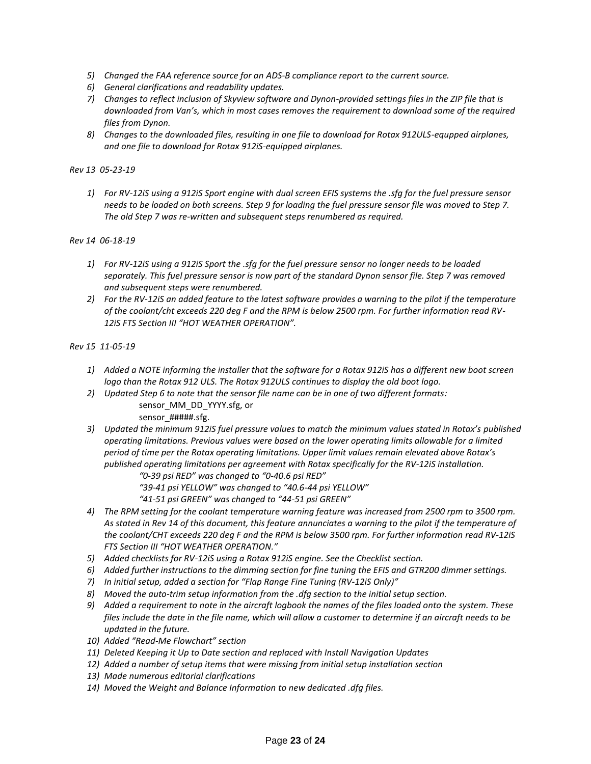- *5) Changed the FAA reference source for an ADS-B compliance report to the current source.*
- *6) General clarifications and readability updates.*
- *7) Changes to reflect inclusion of Skyview software and Dynon-provided settings files in the ZIP file that is downloaded from Van's, which in most cases removes the requirement to download some of the required files from Dynon.*
- *8) Changes to the downloaded files, resulting in one file to download for Rotax 912ULS-equpped airplanes, and one file to download for Rotax 912iS-equipped airplanes.*

### *Rev 13 05-23-19*

*1) For RV-12iS using a 912iS Sport engine with dual screen EFIS systems the .sfg for the fuel pressure sensor needs to be loaded on both screens. Step 9 for loading the fuel pressure sensor file was moved to Step 7. The old Step 7 was re-written and subsequent steps renumbered as required.*

#### *Rev 14 06-18-19*

- *1) For RV-12iS using a 912iS Sport the .sfg for the fuel pressure sensor no longer needs to be loaded separately. This fuel pressure sensor is now part of the standard Dynon sensor file. Step 7 was removed and subsequent steps were renumbered.*
- *2) For the RV-12iS an added feature to the latest software provides a warning to the pilot if the temperature of the coolant/cht exceeds 220 deg F and the RPM is below 2500 rpm. For further information read RV-12iS FTS Section III "HOT WEATHER OPERATION".*

#### *Rev 15 11-05-19*

- *1) Added a NOTE informing the installer that the software for a Rotax 912iS has a different new boot screen logo than the Rotax 912 ULS. The Rotax 912ULS continues to display the old boot logo.*
- *2) Updated Step 6 to note that the sensor file name can be in one of two different formats:* 
	- sensor\_MM\_DD\_YYYY.sfg, or sensor #####.sfg.
- *3) Updated the minimum 912iS fuel pressure values to match the minimum values stated in Rotax's published operating limitations. Previous values were based on the lower operating limits allowable for a limited period of time per the Rotax operating limitations. Upper limit values remain elevated above Rotax's published operating limitations per agreement with Rotax specifically for the RV-12iS installation.*

*"0-39 psi RED" was changed to "0-40.6 psi RED"*

- *"39-41 psi YELLOW" was changed to "40.6-44 psi YELLOW"*
- *"41-51 psi GREEN" was changed to "44-51 psi GREEN"*
- *4) The RPM setting for the coolant temperature warning feature was increased from 2500 rpm to 3500 rpm. As stated in Rev 14 of this document, this feature annunciates a warning to the pilot if the temperature of the coolant/CHT exceeds 220 deg F and the RPM is below 3500 rpm. For further information read RV-12iS FTS Section III "HOT WEATHER OPERATION."*
- *5) Added checklists for RV-12iS using a Rotax 912iS engine. See the Checklist section.*
- *6) Added further instructions to the dimming section for fine tuning the EFIS and GTR200 dimmer settings.*
- *7) In initial setup, added a section for "Flap Range Fine Tuning (RV-12iS Only)"*
- *8) Moved the auto-trim setup information from the .dfg section to the initial setup section.*
- *9) Added a requirement to note in the aircraft logbook the names of the files loaded onto the system. These files include the date in the file name, which will allow a customer to determine if an aircraft needs to be updated in the future.*
- *10) Added "Read-Me Flowchart" section*
- *11) Deleted Keeping it Up to Date section and replaced with Install Navigation Updates*
- *12) Added a number of setup items that were missing from initial setup installation section*
- *13) Made numerous editorial clarifications*
- *14) Moved the Weight and Balance Information to new dedicated .dfg files.*